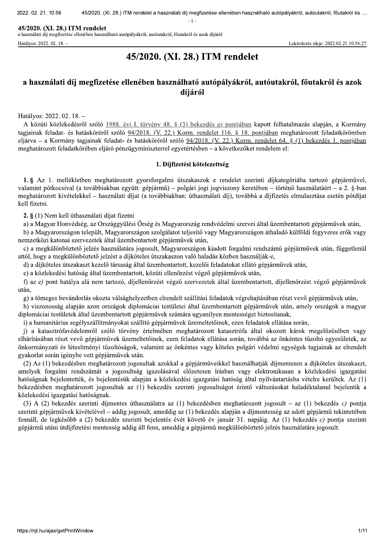2022, 02, 21, 10,

 $-36$  45/2020. . (XI. 28.) ITM rendelet a használati díj megfizetése ellenében használható autópályákról, autóutakról, főutakról és ...<br>- 1 -<br>- et sználható autópályákról, autóutakról, főutakról és azok díjáról<br>- Lekérdezés ideje: 2022.

 $= 1.$ 

**45/2020. (XI. 28.) ITM rendelet**<br>a használati díj megfizetése ellenében használható autópályákról, autóutakról, főutakról és azok díjáról

Hatályos: 2022. 02. 18. – Lekérdezés ideje: 2022.02.21 10:56:27

# 45/2020. (XI. 28.) ITM rendelet

## a használati díj megfizetése ellenében használható autópályákról, autóutakról, főutakról és azok díjáról

Hatályos: 2022. 02. 18. -

A közúti közlekedésről szóló 1988. évi I. törvény 48. § (3) bekezdés g) pontjában kapott felhatalmazás alapján, a Kormány tagjainak feladat- és hatásköréről szóló 94/2018. (V. 22.) Korm. rendelet 116. § 18. pontjában meghatározott feladatkörömben eljárva – a Kormány tagjainak feladat- és hatásköréről szóló 94/2018. (V. 22.) Korm. rendelet 64. § (1) bekezdés 1. pontjában meghatározott feladatkörében eljáró pénzügyminiszterrel egyetértésben – a következőket rendelem el:

## 1. Díjfizetési kötelezettség

1. § Az 1. mellékletben meghatározott gyorsforgalmi útszakaszok e rendelet szerinti díjkategóriába tartozó gépjárművel, valamint pótkocsival (a továbbiakban együtt: gépiármű) – polgári jogi jogyiszony keretében – történő használatáért – a 2. §-ban meghatározott kivételekkel – használati díjat (a továbbiakban: úthasználati díj), továbbá a díjfizetés elmulasztása esetén pótdíjat kell fizetni.

 $2.$  § (1) Nem kell úthasználati díjat fizetni

a) a Magyar Honvédség, az Országgyűlési Őrség és Magyarország rendvédelmi szervei által üzembentartott gépjárművek után,

b) a Magyarországon települt. Magyarországon szolgálatot teliesítő vagy Magyarországon áthaladó külföldi fegyveres erők vagy nemzetközi katonai szervezetek által üzembentartott gépjárművek után,

c) a megkülönböztető jelzés használatára jogosult, Magyarországon kiadott forgalmi rendszámú gépjárművek után, függetlenül attól, hogy a megkülönböztető jelzést a díjköteles útszakaszon való haladás közben használják-e,

d) a díjköteles útszakaszt kezelő társaság által üzembentartott, kezelői feladatokat ellátó gépjárművek után,

e) a közlekedési hatóság által üzembentartott, közúti ellenőrzést végző gépjárművek után,

f) az e) pont hatálya alá nem tartozó, díjellenőrzést végző szervezetek által üzembentartott, díjellenőrzést végző gépjárművek után.

g) a tömeges bevándorlás okozta válsághelyzetben elrendelt szállítási feladatok végrehajtásában részt vevő gépjárművek után,

h) viszonosság alapján azon országok diplomáciai testületei által üzembentartott gépjárművek után, amely országok a magyar diplomáciai testületek által üzembentartott gépjárművek számára ugyanilyen mentességet biztosítanak,

i) a humanitárius segélyszállítmányokat szállító gépiárművek üzemeltetőinek, ezen feladatok ellátása során,

j) a katasztrófavédelemről szóló törvény értelmében meghatározott katasztrófa által okozott károk megelőzésében vagy elhárításában részt vevő gépjárművek üzemeltetőinek, ezen feladatok ellátása során, továbbá az önkéntes tűzoltó egyesületek, az önkormányzati és létesítményi tűzoltóságok, valamint az önkéntes vagy köteles polgári védelmi egységek tagjainak az elrendelt gyakorlat során igénybe vett gépjárművek után.

(2) Az (1) bekezdésben meghatározott jogosultak azokkal a gépjárműveikkel használhatják díjmentesen a díjköteles útszakaszt, amelyek forgalmi rendszámát a jogosultság igazolásával előzetesen írásban vagy elektronikusan a közlekedési igazgatási hatóságnak bejelentették, és bejelentésük alapján a közlekedési igazgatási hatóság által nyilvántartásba vételre kerültek. Az (1) bekezdésben meghatározott jogosultak az (1) bekezdés szerinti jogosultságot érintő változásokat haladéktalanul bejelentik a közlekedési igazgatási hatóságnak.

(3) A (2) bekezdés szerinti díjmentes úthasználatra az (1) bekezdésben meghatározott jogosult – az (1) bekezdés c) pontja szerinti gépjárművek kivételével – addig jogosult, ameddig az  $(1)$  bekezdés alapján a díjmentesség az adott gépjármű tekintetében fennáll, de legkésőbb a (2) bekezdés szerinti bejelentés évét követő év január 31. napjáig. Az (1) bekezdés c) pontja szerinti gépjármű utáni útdíjfizetési mentesség addig áll fenn, ameddig a gépjármű megkülönböztető jelzés használatára jogosult.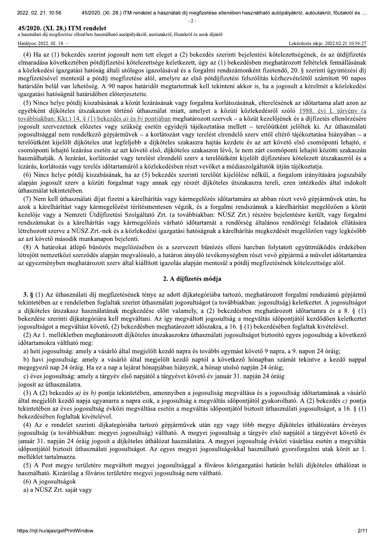2022, 02, 21, 10,  $-36$  45/2020.  $-2$ 

**45/2020. (XI. 28.) ITM rendelet**<br>a használati díj megfizetése ellenében használható autópályákról, autóutakról, főutakról és azok díjáról

. (XI. 28.) ITM rendelet a használati díj megfizetése ellenében használható autópályákról, autóutakról, főutakról és ...<br>-2-<br>|et sználható autópályákról, autóutakról, főutakról és azok díjáról<br>|-2-<br>|ht jogosult nem tett el (4) Ha az (1) bekezdés szerint jogosult nem tett eleget a (2) bekezdés szerinti bejelentési kötelezettségének, és az útdíjfizetés elmaradása következtében pótdíjfizetési kötelezettsége keletkezett, úgy az (1) bekezdésben meghatározott feltételek fennállásának a közlekedési igazgatási hatóság általi utólagos igazolásával és a forgalmi rendszámonként fizetendő, 20. § szerinti ügyintézési díj megfizetésével mentesül a pótdíj megfizetése alól, amelyre az első pótdíjfizetési felszólítás kézhezvételétől számított 90 napos határidőn belül van lehetőség. A 90 napos határidőt megtartottnak kell tekinteni akkor is, ha a jogosult a kérelmét a közlekedési igazgatási hatóságnál határidőben előterjesztette.

(5) Nincs helye pótdíj kiszabásának a közút lezárásának vagy forgalma korlátozásának, elterelésének az időtartama alatt azon az egyébként díjköteles útszakaszon történő úthasználat miatt, amelyet a közúti közlekedésről szóló 1988, évi I. törvény (a  $\frac{\partial \phi}{\partial x}$ továbbiakban: Kkt.) 14. §(1) bekezdés *a)* és *b*) pontjában meghatározott szervek – a közút kezelőjének és a díjfizetés ellenőrzésére jogosult szervezetnek előzetes vagy szükség esetén egyidejű tájékoztatása mellett – terelőútként jelöltek ki. Az úthasználati jogosultsággal nem rendelkező gépjárművek – a korlátozást vagy terelést elrendelő szerv ettől eltérő tájékoztatása hiányában – a terelőútként kijelölt díjköteles utat legfeljebb a díjköteles szakaszra hajtás kezdete és az azt követő első csomóponti lehajtó, e csomóponti lehajtó lezárása esetén az azt követő első, díjköteles szakaszon lévő, le nem zárt csomóponti lehajtó közötti szakaszán használhatják. A lezárást, korlátozást vagy terelést elrendelő szerv a terelőútként kijelölt díjfizetésre kötelezett útszakaszról és a lezárás, korlátozás vagy terelés időtartamáról a közlekedésben részt vevőket a médiaszolgáltatók útján tájékoztatja.

(6) Nincs helye pótdíj kiszabásának, ha az (5) bekezdés szerinti terelőút kijelölése nélkül, a forgalom irányítására jogszabály alapján jogosult szerv a közúti forgalmat vagy annak egy részét díjköteles útszakaszra tereli, ezen intézkedés által indokolt úthasználat tekintetében.

(7) Nem kell úthasználati díjat fizetni a kárelhárítás vagy kármegelőzés időtartamára az abban részt vevő gépjárművek után, ha azok a kárelhárítást vagy kármegelőzést térítésmentesen végzik, és a forgalmi rendszámuk a kárelhárítást megelőzően a közút kezelője vagy a Nemzeti Útdíjfizetési Szolgáltató Zrt. (a továbbiakban: NÚSZ Zrt.) részére bejelentésre került, vagy forgalmi rendszámukat és a kárelhárítás vagy kármegelőzés várható időtartamát a rendőrség általános rendőrségi feladatok ellátására létrehozott szerve a NÚSZ Zrt.-nek és a közlekedési igazgatási hatóságnak a kárelhárítás megkezdését megelőzően vagy legkésőbb az azt követő második munkanapon bejelenti.

(8) A határokat átlépő bűnözés megelőzésében és a szervezett bűnözés elleni harcban folytatott együttműködés érdekében létrejött nemzetközi szerződés alapján megvalósuló, a határon átnyúló tevékenységben részt vevő gépjármű a művelet időtartamára az egyezményben meghatározott szerv által kiállított igazolás alapján mentesül a pótdíj megfizetésének kötelezettsége alól.

## 2. A díjfizetés módja

3. § (1) Az úthasználati díj megfizetésének ténye az adott díjkategóriába tartozó, meghatározott forgalmi rendszámú gépjármű tekintetében az e rendeletben foglaltak szerint úthasználati jogosultságot (a továbbiakban: jogosultság) keletkeztet. A jogosultságot a díjköteles útszakasz használatának megkezdése előtt valamely, a (2) bekezdésben meghatározott időtartamra és a 8. § (1) bekezdése szerinti díjkategóriára kell megváltani. Az így megváltott jogosultság a megváltás időpontjától kezdődően keletkeztet jogosultságot a megváltást követő, (2) bekezdésben meghatározott időszakra, a 16. § (1) bekezdésében foglaltak kivételével.

(2) Az 1. mellékletben meghatározott díjköteles útszakaszokra úthasználati jogosultságot biztosító egyes jogosultság a következő időtartamokra váltható meg:

a) heti jogosultság: amely a vásárló által megjelölt kezdő napra és további egymást követő 9 napra, a 9. napon 24 óráig;

b) havi jogosultság: amely a vásárló által megjelölt kezdő naptól a következő hónapban számát tekintve a kezdő nappal megegyező nap 24 óráig. Ha ez a nap a lejárat hónapjában hiányzik, a hónap utolsó napján 24 óráig;

c) éves jogosultság: amely a tárgyév első napjától a tárgyévet követő év január 31. napján 24 óráig

jogosít az úthasználatra.

(3) A (2) bekezdés a) és b) pontia tekintetében, amennyiben a jogosultság megváltása és a jogosultság időtartamának a vásárló által megjelölt kezdő napja ugyanarra a napra esik, a jogosultság a megyáltás időpontjától gyakorolható. A (2) bekezdés c) pontja tekintetében az éves jogosultság évközi megváltása esetén a megváltás időpontjától biztosít úthasználati jogosultságot, a 16. § (1) bekezdésében foglaltak kivételével.

(4) Az e rendelet szerinti díjkategóriába tartozó gépjárművek után egy vagy több megye díjköteles úthálózatára érvényes jogosultság (a továbbiakban: megyei jogosultság) váltható. A megyei jogosultság a tárgyév első napjától a tárgyévet követő év január 31. napján 24 óráig jogosít a díjköteles úthálózat használatára. A megyei jogosultság évközi vásárlása esetén a megyáltás időpontjától biztosít úthasználati jogosultságot. Az egyes megyei jogosultságokkal használható gyorsforgalmi utak körét az 1. melléklet tartalmazza.

(5) A Pest megye területére megváltott megyei jogosultsággal a főváros közigazgatási határán belüli díjköteles úthálózat is használható. Kizárólag a főváros területére megyei jogosultság nem váltható.

 $(6)$  A jogosultságok

(o) A jogosunsagor<br>
a) a NÚSZ Zrt. sajá<br>
https://njt.hu/ajax/getPrin a) a NÚSZ Zrt. saját vagy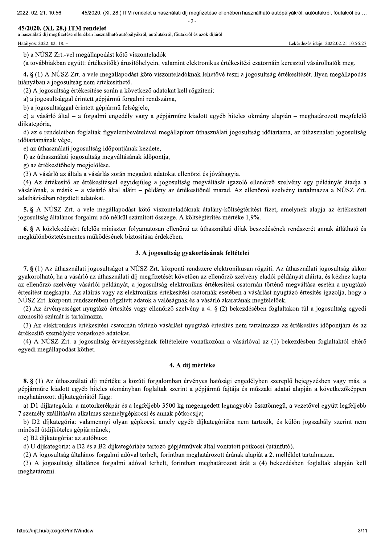$-2$ 

45/2020. (XI. 28.) ITM rendelet<br>a használati díj megfizetése ellenében használható autópályákról, autóutakról, főutakról és azok díjáról

b) a NÚSZ Zrt.-vel megállapodást kötő viszonteladók

. (XI. 28.) ITM rendelet a használati díj megfizetése ellenében használható autópályákról, autóutakról, főutakról és<br>- 3 -<br>- 3 -<br>Dekérdezés ideje: 2022.02.21 10:56:27<br>Odást kötő viszonteladók<br>- csítők) árusítóhelyein, vala (a továbbiakban együtt: értékesítők) árusítóhelyein, valamint elektronikus értékesítési csatornáin keresztül vásárolhatók meg.

4. § (1) A NÚSZ Zrt. a vele megállapodást kötő viszonteladóknak lehetővé teszi a jogosultság értékesítését. Ilyen megállapodás hiányában a jogosultság nem értékesíthető.

(2) A jogosultság értékesítése során a következő adatokat kell rögzíteni:

a) a jogosultsággal érintett gépjármű forgalmi rendszáma,

b) a jogosultsággal érintett gépjármű felségjele,

c) a vásárló által – a forgalmi engedély vagy a gépjárműre kiadott egyéb hiteles okmány alapján – meghatározott megfelelő díjkategória,

d) az e rendeletben foglaltak figvelembevételével megállapított úthasználati jogosultság időtartama, az úthasználati jogosultság időtartamának vége,

e) az úthasználati jogosultság időpontjának kezdete,

f) az úthasználati jogosultság megváltásának időpontja,

g) az értékesítőhely megjelölése.

(3) A vásárló az általa a vásárlás során megadott adatokat ellenőrzi és jóváhagyja.

(4) Az értékesítő az értékesítéssel egyidejűleg a jogosultság megváltását igazoló ellenőrző szelvény egy példányát átadja a vásárlónak, a másik – a vásárló által aláírt – példány az értékesítőnél marad. Az ellenőrző szelvény tartalmazza a NÚSZ Zrt. adatbázisában rögzített adatokat.

5. § A NÚSZ Zrt. a vele megállapodást kötő viszonteladóknak átalány-költségtérítést fizet, amelynek alapja az értékesített  $j$ ogosultság általános forgalmi adó nélkül számított összege. A költségtérítés mértéke 1,9%.

6. § A közlekedésért felelős miniszter folyamatosan ellenőrzi az úthasználati díjak beszedésének rendszerét annak átlátható és megkülönböztetésmentes működésének biztosítása érdekében.

#### 3. A jogosultság gyakorlásának feltételei

7. §(1) Az úthasználati jogosultságot a NÚSZ Zrt. központi rendszere elektronikusan rögzíti. Az úthasználati jogosultság akkor gyakorolható, ha a vásárló az úthasználati díj megfizetését követően az ellenőrző szelvény eladói példányát aláírta, és kézhez kapta az ellenőrző szelvény vásárlói példányát, a jogosultság elektronikus értékesítési csatornán történő megváltása esetén a nyugtázó értesítést megkapta. Az aláírás vagy az elektronikus értékesítési csatornák esetében a vásárlást nyugtázó értesítés igazolja, hogy a NÚSZ Zrt. központi rendszerében rögzített adatok a valóságnak és a vásárló akaratának megfelelőek.

(2) Az érvényességet nyugtázó értesítés vagy ellenőrző szelvény a 4, § (2) bekezdésében foglaltakon túl a jogosultság egyedi azonosító számát is tartalmazza.

(3) Az elektronikus értékesítési csatornán történő vásárlást nyugtázó értesítés nem tartalmazza az értékesítés időpontjára és az értékesítő személyére vonatkozó adatokat.

(4) A NÚSZ Zrt. a jogosultság érvényességének feltételeire vonatkozóan a vásárlóval az (1) bekezdésben foglaltaktól eltérő egyedi megállapodást köthet.

## 4. A díj mértéke

8. § (1) Az úthasználati díj mértéke a közúti forgalomban érvényes hatósági engedélyben szereplő bejegyzésben vagy más, a gépjárműre kiadott egyéb hiteles okmányban foglaltak szerint a gépjármű fajtája és műszaki adatai alapján a következőképpen meghatározott díjkategóriától függ:

a) D1 díjkategória: a motorkerékpár és a legfeljebb 3500 kg megengedett legnagyobb össztömegű, a vezetővel együtt legfeljebb 7 személy szállítására alkalmas személygépkocsi és annak pótkocsija;

b) D2 díjkategória: valamennyi olyan gépkocsi, amely egyéb díjkategóriába nem tartozik, és külön jogszabály szerint nem minősül útdíiköteles gépiárműnek:

c) B2 díjkategória: az autóbusz;

d) U díjkategória: a D2 és a B2 díjkategóriába tartozó gépjárművek által vontatott pótkocsi (utánfutó).

(2) A jogosultság általános forgalmi adóval terhelt, forintban meghatározott árának alapját a 2. melléklet tartalmazza.

(3) A jogosultság általános forgalmi adóval terhelt, forintban meghatározott árát a (4) bekezdésben foglaltak alapján kell meghatározni.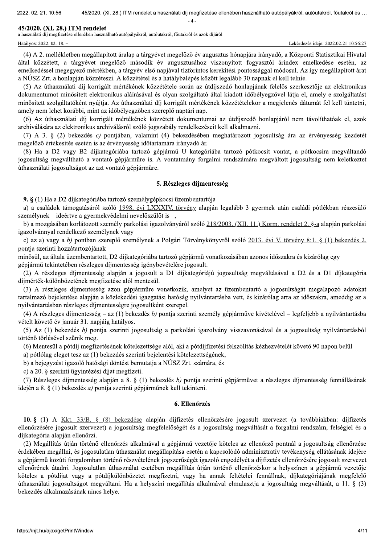$\Lambda$ 

#### 45/2020. (XI. 28.) ITM rendelet

a használati díj megfizetése ellenében használható autópályákról, autóutakról, főutakról és azok díjáról

Hatályos: 2022. 02. 18. -

(4) A 2, mellékletben megállapított áralap a tárgyévet megelőző év augusztus hónapjára irányadó, a Központi Statisztikai Hivatal által közzétett, a tárgyévet megelőző második év augusztusához viszonyított fogyasztói árindex emelkedése esetén, az emelkedéssel megegyező mértékben, a tárgyév első napjával tízforintos kerekítési pontossággal módosul. Az így megállapított árat a NÚSZ Zrt. a honlapján közzéteszi. A közzététel és a hatálybalépés között legalább 30 napnak el kell telnie.

(5) Az úthasználati díj korrigált mértékének közzététele során az útdíjszedő honlapjának felelős szerkesztője az elektronikus dokumentumot minősített elektronikus aláírásával és olyan szolgáltató által kiadott időbélyegzővel látja el, amely e szolgáltatást minősített szolgáltatóként nyújtja. Az úthasználati díj korrigált mértékének közzétételekor a megjelenés dátumát fel kell tüntetni, amely nem lehet korábbi, mint az időbélyegzőben szereplő naptári nap.

(6) Az úthasználati díj korrigált mértékének közzétett dokumentumai az útdíjszedő honlapjáról nem távolíthatóak el, azok archiválására az elektronikus archiválásról szóló jogszabály rendelkezéseit kell alkalmazni.

(7) A 3. § (2) bekezdés c) pontjában, valamint (4) bekezdésében meghatározott jogosultság ára az érvényesség kezdetét megelőző értékesítés esetén is az érvényesség időtartamára irányadó ár.

(8) Ha a D2 vagy B2 díjkategóriába tartozó gépjármű U kategóriába tartozó pótkocsit vontat, a pótkocsira megváltandó jogosultság megváltható a vontató gépjárműre is. A vontatmány forgalmi rendszámára megváltott jogosultság nem keletkeztet úthasználati jogosultságot az azt vontató gépjárműre.

#### 5. Részleges díjmentesség

9. § (1) Ha a D2 díjkategóriába tartozó személygépkocsi üzembentartója

a) a családok támogatásáról szóló 1998. évi LXXXIV. törvény alapján legalább 3 gyermek után családi pótlékban részesülő személynek – ideértve a gyermekvédelmi nevelőszülőt is –,

b) a mozgásában korlátozott személy parkolási igazolványáról szóló 218/2003. (XII. 11.) Korm. rendelet 2. §-a alapján parkolási igazolvánnyal rendelkező személynek vagy

c) az a) vagy a b) pontban szereplő személynek a Polgári Törvénykönyvről szóló 2013. évi V. törvény 8:1. § (1) bekezdés 2. pontja szerinti hozzátartozójának

minősül, az általa üzembentartott, D2 díjkategóriába tartozó gépjármű vonatkozásában azonos időszakra és kizárólag egy gépjármű tekintetében részleges díjmentesség igénybevételére jogosult.

(2) A részleges díjmentesség alapján a jogosult a D1 díjkategóriájú jogosultság megváltásával a D2 és a D1 díjkategória díjmérték-különbözetének megfizetése alól mentesül.

(3) A részleges díjmentesség azon gépjárműre vonatkozik, amelyet az üzembentartó a jogosultságát megalapozó adatokat tartalmazó bejelentése alapján a közlekedési igazgatási hatóság nyilvántartásba vett, és kizárólag arra az időszakra, ameddig az a nyilvántartásban részleges díjmentességre jogosultként szerepel.

(4) A részleges díjmentesség – az (1) bekezdés b) pontja szerinti személy gépjárműve kivételével – legfeljebb a nyilvántartásba vételt követő év január 31. napjáig hatályos.

(5) Az (1) bekezdés b) pontia szerinti jogosultság a parkolási igazolvány visszavonásával és a jogosultság nyilvántartásból történő törlésével szűnik meg.

(6) Mentesül a pótdíj megfizetésének kötelezettsége alól, aki a pótdíjfizetési felszólítás kézhezvételét követő 90 napon belül

a) pótlólag eleget tesz az (1) bekezdés szerinti bejelentési kötelezettségének,

b) a bejegyzést igazoló hatósági döntést bemutatja a NÚSZ Zrt. számára, és

c) a 20. § szerinti ügyintézési díjat megfizeti.

(7) Részleges díjmentesség alapján a 8. § (1) bekezdés b) pontja szerinti gépjárművet a részleges díjmentesség fennállásának idején a 8.  $\S$  (1) bekezdés *a*) pontia szerinti gépiárműnek kell tekinteni.

#### 6. Ellenőrzés

10. § (1) A Kkt. 33/B. § (8) bekezdése alapján díjfizetés ellenőrzésére jogosult szervezet (a továbbiakban: díjfizetés ellenőrzésére jogosult szervezet) a jogosultság megfelelőségét és a jogosultság megváltását a forgalmi rendszám, felségjel és a díjkategória alapján ellenőrzi.

(2) Megállítás útján történő ellenőrzés alkalmával a gépjármű vezetője köteles az ellenőrző pontnál a jogosultság ellenőrzése érdekében megállni, és jogosulatlan úthasználat megállapítása esetén a kapcsolódó adminisztratív tevékenység ellátásának idejére a gépjármű közúti forgalomban történő részvételének jogszerűségét igazoló engedélyét a díjfizetés ellenőrzésére jogosult szervezet ellenőrének átadni. Jogosulatlan úthasználat esetében megállítás útján történő ellenőrzéskor a helyszínen a gépjármű vezetője köteles a pótdíjat vagy a pótdíjkülönbözetet megfizetni, vagy ha annak feltételei fennállnak, díjkategóriájának megfelelő úthasználati jogosultságot megváltani. Ha a helyszíni megállítás alkalmával elmulasztja a jogosultság megváltását, a 11. § (3) bekezdés alkalmazásának nincs helye.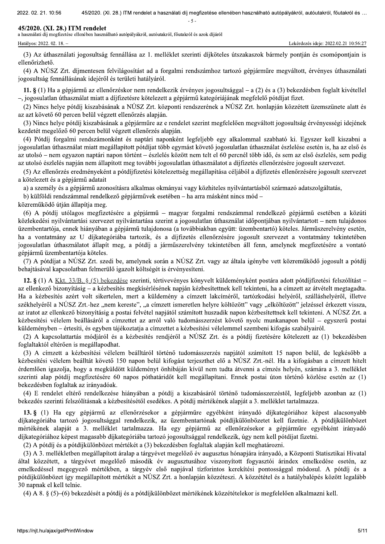$-5$ 

#### 45/2020. (XI. 28.) ITM rendelet

Hatályos: 2022. 02. 18. -

a használati díj megfizetése ellenében használható autópályákról, autóutakról, főutakról és azok díjáról

Lekérdezés ideje: 2022.02.21 10:56:27

(3) Az úthasználati jogosultság fennállása az 1. melléklet szerinti díjköteles útszakaszok bármely pontján és csomópontiain is ellenőrizhető.

(4) A NÚSZ Zrt. díjmentesen felvilágosítást ad a forgalmi rendszámhoz tartozó gépjárműre megváltott, érvényes úthasználati jogosultság fennállásának idejéről és területi hatályáról.

11.  $\S$  (1) Ha a gépiármű az ellenőrzéskor nem rendelkezik érvényes jogosultsággal – a (2) és a (3) bekezdésben foglalt kivétellel -, jogosulatlan úthasználat miatt a díjfizetésre kötelezett a gépjármű kategóriájának megfelelő pótdíjat fizet.

(2) Nincs helye pótdíj kiszabásának a NÚSZ Zrt. központi rendszerének a NÚSZ Zrt. honlapján közzétett üzemszünete alatt és az azt követő 60 percen belül végzett ellenőrzés alapján.

(3) Nincs helye pótdíj kiszabásának a gépjárműre az e rendelet szerint megfelelően megváltott jogosultság érvényességi idejének kezdetét megelőző 60 percen belül végzett ellenőrzés alapján.

(4) Pótdíj forgalmi rendszámonként és naptári naponként legfeljebb egy alkalommal szabható ki. Egyszer kell kiszabni a jogosulatlan úthasználat miatt megállapított pótdíjat több egymást követő jogosulatlan úthasználat észlelése esetén is, ha az első és az utolsó – nem egyazon naptári napon történt – észlelés között nem telt el 60 percnél több idő, és sem az első észlelés, sem pedig az utolsó észlelés napján nem állapított meg további jogosulatlan úthasználatot a díjfizetés ellenőrzésére jogosult szervezet.

(5) Az ellenőrzés eredményeként a pótdíjfizetési kötelezettség megállapítása céljából a díjfizetés ellenőrzésére jogosult szervezet a kötelezett és a gépjármű adatait

a) a személy és a gépiármű azonosításra alkalmas okmányai vagy közhiteles nyilvántartásból származó adatszolgáltatás,

b) külföldi rendszámmal rendelkező gépiárművek esetében – ha arra másként nincs mód –

közreműködő útján állapítja meg.

(6) A pótdíj utólagos megfizetésére a gépjármű – magyar forgalmi rendszámmal rendelkező gépjármű esetében a közúti közlekedési nyilvántartási szervezet nyilvántartása szerint a jogosulatlan úthasználat időpontjában nyilvántartott – nem tulajdonos üzembentartója, ennek hiányában a gépjármű tulajdonosa (a továbbiakban együtt: üzembentartó) köteles. Járműszerelvény esetén, ha a vontatmány az U díjkategóriába tartozik, és a díjfizetés ellenőrzésére jogosult szervezet a vontatmány tekintetében jogosulatlan úthasználatot állapít meg, a pótdíj a járműszerelvény tekintetében áll fenn, amelynek megfizetésére a vontató gépiármű üzembentartója köteles.

(7) A pótdíjat a NÚSZ Zrt. szedi be, amelynek során a NÚSZ Zrt. vagy az általa igénybe vett közreműködő jogosult a pótdíj behajtásával kapcsolatban felmerülő igazolt költségét is érvényesíteni.

12. § (1) A Kkt. 33/B. § (5) bekezdése szerinti, tértivevényes könyvelt küldeményként postára adott pótdíjfizetési felszólítást – az ellenkező bizonvításig – a kézbesítés megkísérlésének napján kézbesítettnek kell tekinteni, ha a címzett az átvételt megtagadta. Ha a kézbesítés azért volt sikertelen, mert a küldemény a címzett lakcíméről, tartózkodási helyéről, szálláshelyéről, illetve székhelyéről a NÚSZ Zrt.-hez "nem kereste", "a címzett ismeretlen helyre költözött" vagy "elköltözött" jelzéssel érkezett vissza, az iratot az ellenkező bizonyításig a postai felvétel napjától számított huszadik napon kézbesítettnek kell tekinteni. A NÚSZ Zrt. a kézbesítési vélelem beállásáról a címzettet az arról való tudomásszerzést követő nyolc munkanapon belül – egyszerű postai küldeményben – értesíti, és egyben tájékoztatja a címzettet a kézbesítési vélelemmel szembeni kifogás szabályairól.

(2) A kapcsolattartás módiáról és a kézbesítés rendiéről a NÚSZ Zrt. és a pótdíj fizetésére kötelezett az (1) bekezdésben foglaltaktól eltérően is megállapodhat.

(3) A címzett a kézbesítési vélelem beálltáról történő tudomásszerzés napjától számított 15 napon belül, de legkésőbb a kézbesítési vélelem beálltát követő 150 napon belül kifogást terjeszthet elő a NÚSZ Zrt.-nél. Ha a kifogásban a címzett hitelt érdemlően igazolja, hogy a megküldött küldeményt önhibáján kívül nem tudta átvenni a címzés helyén, számára a 3. melléklet szerinti alap pótdíj megfizetésére 60 napos póthatáridőt kell megállapítani. Ennek postai úton történő közlése esetén az (1) bekezdésben foglaltak az irányadóak.

(4) E rendelet eltérő rendelkezése hiányában a pótdíj a kiszabásáról történő tudomásszerzéstől, legfeljebb azonban az (1) bekezdés szerinti felszólításnak a kézbesítésétől esedékes. A pótdíi mértékének alapiát a 3. melléklet tartalmazza.

13. § (1) Ha egy gépjármű az ellenőrzésekor a gépjárműre egyébként irányadó díjkategóriához képest alacsonyabb díjkategóriába tartozó jogosultsággal rendelkezik, az üzembentartónak pótdíjkülönbözetet kell fizetnie. A pótdíjkülönbözet mértékének alapját a 3. melléklet tartalmazza. Ha egy gépjármű az ellenőrzésekor a gépjárműre egyébként irányadó díjkategóriához képest magasabb díjkategóriába tartozó jogosultsággal rendelkezik, úgy nem kell pótdíjat fizetni.

(2) A pótdíj és a pótdíjkülönbözet mértékét a (3) bekezdésben foglaltak alapján kell meghatározni.

(3) A 3. mellékletben megállapított áralap a tárgyévet megelőző év augusztus hónapjára irányadó, a Központi Statisztikai Hivatal által közzétett, a tárgyévet megelőző második év augusztusához viszonyított fogyasztói árindex emelkedése esetén, az emelkedéssel megegyező mértékben, a tárgyév első napjával tízforintos kerekítési pontossággal módosul. A pótdíj és a pótdíjkülönbözet így megállapított mértékét a NÚSZ Zrt. a honlapján közzéteszi. A közzététel és a hatálybalépés között legalább 30 napnak el kell telnie.

(4) A 8, § (5)–(6) bekezdését a pótdíj és a pótdíjkülönbözet mértékének közzétételekor is megfelelően alkalmazni kell.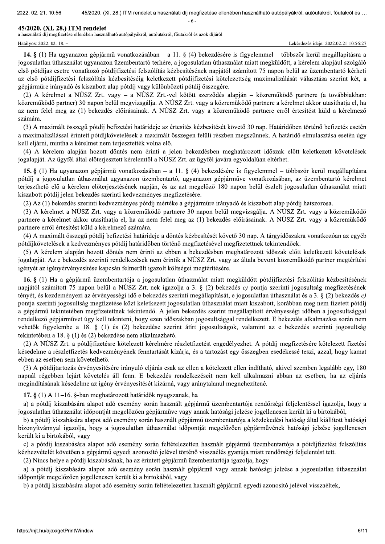2022, 02, 21, 10,  $-36$  45/2020.  $-6$ 

**45/2020. (XI. 28.) ITM rendelet**<br>a használati díj megfizetése ellenében használható autópályákról, autóutakról, főutakról és azok díjáról Hatályos: 2022. 02. 18. – **Lekérdezés ideje: 2022.02.21 10:56:27** 

. (XI. 28.) ITM rendelet a használati díj megfizetése ellenében használható autópályákról, autóutakról, főutakról és ...<br>- 6 -<br>- f - Etta:<br>jármű vonatkozásában – a 11. § (4) bekezdésére is figyelemmel – többször kerül megá 14.  $\S$ (1) Ha ugyanazon gépjármű vonatkozásában – a 11.  $\S$ (4) bekezdésére is figyelemmel – többször kerül megállapításra a jogosulatlan úthasználat ugyanazon üzembentartó terhére, a jogosulatlan úthasználat miatt megküldött, a kérelem alapjául szolgáló első pótdíjas esetre vonatkozó pótdíjfizetési felszólítás kézbesítésének napjától számított 75 napon belül az üzembentartó kérheti az első pótdíjfizetési felszólítás kézbesítéséig keletkezett pótdíjfizetési kötelezettség maximalizálását választása szerint két, a gépjárműre irányadó és kiszabott alap pótdíj vagy különbözeti pótdíj összegére.

(2) A kérelmet a NÚSZ Zrt. vagy – a NÚSZ Zrt.-vel kötött szerződés alapján – közreműködő partnere (a továbbiakban: közreműködő partner) 30 napon belül megvizsgálja. A NÚSZ Zrt. vagy a közreműködő partnere a kérelmet akkor utasíthatja el, ha az nem felel meg az (1) bekezdés előírásainak. A NÚSZ Zrt. vagy a közreműködő partnere erről értesítést küld a kérelmező számára.

(3) A maximált összegű pótdíj befizetési határideje az értesítés kézbesítését követő 30 nap. Határidőben történő befizetés esetén a maximalizálással érintett pótdíjkövetelések a maximált összegen felüli részben megszűnnek. A határidő elmulasztása esetén úgy kell eljárni, mintha a kérelmet nem terjesztették volna elő.

(4) A kérelem alapján hozott döntés nem érinti a jelen bekezdésben meghatározott időszak előtt keletkezett követelések jogalapját. Az ügyfél által előterjesztett kérelemtől a NÚSZ Zrt. az ügyfél javára egyoldalúan eltérhet.

15. § (1) Ha ugyanazon gépjármű vonatkozásában – a 11. § (4) bekezdésére is figyelemmel – többször kerül megállapításra pótdíj a jogosulatlan úthasználat ugyanazon üzembentartó, ugyanazon gépjárműve vonatkozásában, az üzembentartó kérelmet terjeszthető elő a kérelem előterjesztésének napján, és az azt megelőző 180 napon belül észlelt jogosulatlan úthasználat miatt kiszabott pótdíj jelen bekezdés szerinti kedvezményes megfizetésére.

(2) Az (1) bekezdés szerinti kedvezményes pótdíj mértéke a gépjárműre irányadó és kiszabott alap pótdíj hatszorosa.

(3) A kérelmet a NÚSZ Zrt. vagy a közreműködő partnere 30 napon belül megvizsgálja. A NÚSZ Zrt. vagy a közreműködő partnere a kérelmet akkor utasíthatja el, ha az nem felel meg az (1) bekezdés előírásainak. A NÚSZ Zrt. vagy a közreműködő partnere erről értesítést küld a kérelmező számára.

(4) A maximált összegű pótdíj befizetési határideje a döntés kézbesítését követő 30 nap. A tárgyidőszakra vonatkozóan az egyéb pótdíjkövetelések a kedvezményes pótdíj határidőben történő megfizetésével megfizetettnek tekintendőek.

(5) A kérelem alapján hozott döntés nem érinti az ebben a bekezdésben meghatározott időszak előtt keletkezett követelések jogalapját. Az e bekezdés szerinti rendelkezések nem érintik a NÚSZ Zrt. vagy az általa bevont közreműködő partner megtérítési igényét az igényérvényesítése kapcsán felmerült igazolt költségei megtérítésére.

16. § (1) Ha a gépjármű üzembentartója a jogosulatlan úthasználat miatt megküldött pótdíjfizetési felszólítás kézbesítésének napjától számított 75 napon belül a NÚSZ Zrt.-nek igazolja a 3. § (2) bekezdés c) pontja szerinti jogosultság megfizetésének tényét, és kezdeményezi az érvényességi idő e bekezdés szerinti megállapítását, e jogosulatlan úthasználat és a 3,  $\S$  (2) bekezdés c) pontja szerinti jogosultság megfizetése közt keletkezett jogosulatlan úthasználat miatt kiszabott, korábban meg nem fizetett pótdíj a gépjármű tekintetében megfizetettnek tekintendő. A jelen bekezdés szerint megállapított érvényességi időben a jogosultsággal rendelkező gépjárművet úgy kell tekinteni, hogy ezen időszakban jogosultsággal rendelkezett. E bekezdés alkalmazása során nem vehetők figyelembe a 18. § (1) és (2) bekezdése szerint átírt jogosultságok, valamint az e bekezdés szerinti jogosultság tekintetében a 18. § (1) és (2) bekezdése nem alkalmazható.

(2) A NÚSZ Zrt. a pótdíjfizetésre kötelezett kérelmére részletfizetést engedélyezhet. A pótdíj megfizetésére kötelezett fizetési késedelme a részletfizetés kedvezményének fenntartását kizárja, és a tartozást egy összegben esedékessé teszi, azzal, hogy kamat ebben az esetben sem követelhető.

(3) A pótdíjtartozás érvényesítésére irányuló eljárás csak az ellen a kötelezett ellen indítható, akivel szemben legalább egy, 180 napnál régebben lejárt követelés áll fenn. E bekezdés rendelkezéseit nem kell alkalmazni abban az esetben, ha az eljárás megindításának késedelme az igény érvényesítését kizárná, vagy aránytalanul megnehezítené.

17. §  $(1)$  A 11–16. §-ban meghatározott határidők nyugszanak, ha

a) a pótdíj kiszabására alapot adó esemény során használt gépjármű üzembentartója rendőrségi feljelentéssel igazolja, hogy a jogosulatlan úthasználat időpontját megelőzően gépjárműve vagy annak hatósági jelzése jogellenesen került ki a birtokából,

b) a pótdíj kiszabására alapot adó esemény során használt gépjármű üzembentartója a közlekedési hatóság által kiállított hatósági bizonyítvánnyal igazolja, hogy a jogosulatlan úthasználat időpontját megelőzően gépjárművének hatósági jelzése jogellenesen került ki a birtokából, vagy

c) a pótdíj kiszabására alapot adó esemény során feltételezetten használt gépjármű üzembentartója a pótdíjfizetési felszólítás kézhezvételét követően a gépjármű egyedi azonosító jelével történő visszaélés gyanúja miatt rendőrségi feljelentést tett.

(2) Nincs helye a pótdíj kiszabásának, ha az érintett gépjármű üzembentartója igazolja, hogy

a) a pótdíj kiszabására alapot adó esemény során használt gépjármű vagy annak hatósági jelzése a jogosulatlan úthasználat időpontját megelőzően jogellenesen került ki a birtokából, vagy

b) a pótdíj kiszabás<br>https://njt.hu/ajax/getPrin b) a pótdíj kiszabására alapot adó esemény során feltételezetten használt gépjármű egyedi azonosító jelével visszaéltek.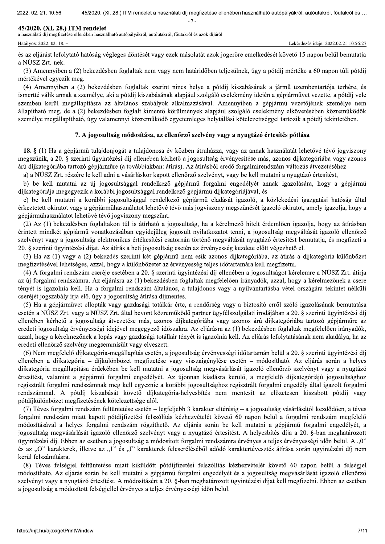2022, 02, 21, 10,  $-36$  45/2020.

 $-7$ 

**45/2020. (XI. 28.) ITM rendelet**<br>a használati díj megfizetése ellenében használható autópályákról, autóutakról, főutakról és azok díjáról

. (XI. 28.) ITM rendelet a használati díj megfizetése ellenében használható autópályákról, autóutakról, főutakról és ...<br>- 7 -<br>Intimetics azok díjáról<br>Inténetics azok díjáról<br>Inténetics azok díjáról<br>Inténetics azok jogerőr és az eljárást lefolytató hatóság végleges döntését vagy ezek másolatát azok jogerőre emelkedését követő 15 napon belül bemutatja a NÚSZ Zrt.-nek.

(3) Amennyiben a (2) bekezdésben foglaltak nem vagy nem határidőben teliesülnek, úgy a pótdíi mértéke a 60 napon túli pótdíi mértékével egyezik meg.

(4) Amennyiben a (2) bekezdésben foglaltak szerint nincs helye a pótdíj kiszabásának a jármű üzembentartója terhére, és ismertté válik annak a személye, aki a pótdíj kiszabásának alapjául szolgáló cselekmény idején a gépjárművet vezette, a pótdíj vele szemben kerül megállapításra az általános szabályok alkalmazásával. Amennyiben a gépjármű vezetőjének személye nem állapítható meg, de a (2) bekezdésben foglalt kimentő körülmények alapjául szolgáló cselekmény elkövetésében közreműködők személye megállapítható, úgy valamennyi közreműködő egyetemleges helytállási kötelezettséggel tartozik a pótdíj tekintetében.

#### 7. A jogosultság módosítása, az ellenőrző szelvény vagy a nyugtázó értesítés pótlása

18. § (1) Ha a gépiármű tulajdoniogát a tulajdonosa év közben átruházza, vagy az annak használatát lehetővé tévő jogviszony megszűnik, a 20. § szerinti ügyintézési díj ellenében kérhető a jogosultság érvényesítése más, azonos díjkategóriába vagy azonos árú díjkategóriába tartozó gépjárműre (a továbbiakban: átírás). Az átírásból eredő forgalmirendszám-változás átvezetéséhez

a) a NÚSZ Zrt. részére le kell adni a vásárláskor kapott ellenőrző szelvényt, vagy be kell mutatni a nyugtázó értesítést,

b) be kell mutatni az új jogosultsággal rendelkező gépjármű forgalmi engedélyét annak igazolására, hogy a gépjármű díjkategóriája megegyezik a korábbi jogosultsággal rendelkező gépjármű díjkategóriájával, és

c) be kell mutatni a korábbi jogosultsággal rendelkező gépjármű eladását igazoló, a közlekedési igazgatási hatóság által érkeztetett okiratot vagy a gépjárműhasználatot lehetővé tévő más jogviszony megszűnését igazoló okiratot, amely igazolja, hogy a gépjárműhasználatot lehetővé tévő jogviszony megszűnt.

(2) Az (1) bekezdésben foglaltakon túl is átírható a jogosultság, ha a kérelmező hitelt érdemlően igazolja, hogy az átírásban érintett mindkét gépjármű vonatkozásában egyidejűleg jogosult nyilatkozatot tenni, a jogosultság megyáltását igazoló ellenőrző szelvényt vagy a jogosultság elektronikus értékesítési csatornán történő megváltását nyugtázó értesítést bemutatja, és megfizeti a 20. § szerinti ügyintézési díjat. Az átírás a heti jogosultság esetén az érvényesség kezdete előtt végezhető el.

(3) Ha az (1) vagy a (2) bekezdés szerinti két gépjármű nem esik azonos díjkategóriába, az átírás a díjkategória-különbözet megfizetésével lehetséges, azzal, hogy a különbözetet az érvényesség teljes időtartamára kell megfizetni.

(4) A forgalmi rendszám cseréje esetében a 20. § szerinti ügyintézési díj ellenében a jogosultságot kérelemre a NÚSZ Zrt. átírja az új forgalmi rendszámra. Az eljárásra az (1) bekezdésben foglaltak megfelelően irányadók, azzal, hogy a kérelmezőnek a csere tényét is igazolnia kell. Ha a forgalmi rendszám általános, a tulajdonos vagy a nyilvántartásba vétel országára tekintet nélküli cseréjét jogszabály írja elő, úgy a jogosultság átírása díjmentes.

(5) Ha a gépiárművet ellopták vagy gazdasági totálkár érte, a rendőrség vagy a biztosító erről szóló igazolásának bemutatása esetén a NÚSZ Zrt. vagy a NÚSZ Zrt. által bevont közreműködő partner ügyfélszolgálati irodájában a 20. § szerinti ügyintézési díj ellenében kérhető a jogosultság átvezetése más, azonos díjkategóriába vagy azonos árú díjkategóriába tartozó gépjárműre az eredeti jogosultság érvényességi idejével megegyező időszakra. Az eljárásra az (1) bekezdésben foglaltak megfelelően irányadók, azzal, hogy a kérelmezőnek a lopás vagy gazdasági totálkár tényét is igazolnia kell. Az eljárás lefolytatásának nem akadálya, ha az eredeti ellenőrző szelvény megsemmisült vagy elveszett.

(6) Nem megfelelő díjkategória-megállapítás esetén, a jogosultság érvényességi időtartamán belül a 20. § szerinti ügyintézési díj ellenében a díjkategória – díjkülönbözet megfizetése vagy visszaigénylése esetén – módosítható. Az eljárás során a helyes díjkategória megállapítása érdekében be kell mutatni a jogosultság megvásárlását igazoló ellenőrző szelvényt vagy a nyugtázó értesítést, valamint a gépjármű forgalmi engedélyét. Az újonnan kiadásra kerülő, a megfelelő díjkategóriájú jogosultsághoz regisztrált forgalmi rendszámnak meg kell egyeznie a korábbi jogosultsághoz regisztrált forgalmi engedély által igazolt forgalmi rendszámmal. A pótdíj kiszabását követő díjkategória-helyesbítés nem mentesít az előzetesen kiszabott pótdíj vagy pótdíjkülönbözet megfizetésének kötelezettsége alól.

(7) Téves forgalmi rendszám feltüntetése esetén – legfeljebb 3 karakter eltérésig – a jogosultság vásárlásától kezdődően, a téves forgalmi rendszám miatt kapott pótdíjfizetési felszólítás kézhezvételét követő 60 napon belül a forgalmi rendszám megfelelő módosításával a helyes forgalmi rendszám rögzíthető. Az eljárás során be kell mutatni a gépjármű forgalmi engedélyét, a jogosultság megvásárlását igazoló ellenőrző szelvényt vagy a nyugtázó értesítést. A helyesbítés díja a 20. §-ban meghatározott ügyintézési díj. Ebben az esetben a jogosultság a módosított forgalmi rendszámra érvényes a teljes érvényességi időn belül. A "0" és az "O" karakterek, illetve az "l" és "I" karakterek felcseréléséből adódó karaktertévesztés átírása során ügyintézési díj nem kerül felszámításra.

szervenyt vagy a nyu<br>a jogosultság a módo<br>https://njt.hu/ajax/getPrin (8) Téves felségjel feltüntetése miatt kiküldött pótdíjfizetési felszólítás kézhezvételét követő 60 napon belül a felségjel módosítható. Az eljárás során be kell mutatni a gépjármű forgalmi engedélyét és a jogosultság megyásárlását igazoló ellenőrző szelvényt vagy a nyugtázó értesítést. A módosításért a 20. §-ban meghatározott ügyintézési díjat kell megfizetni. Ebben az esetben a jogosultság a módosított felségjellel érvényes a teljes érvényességi időn belül.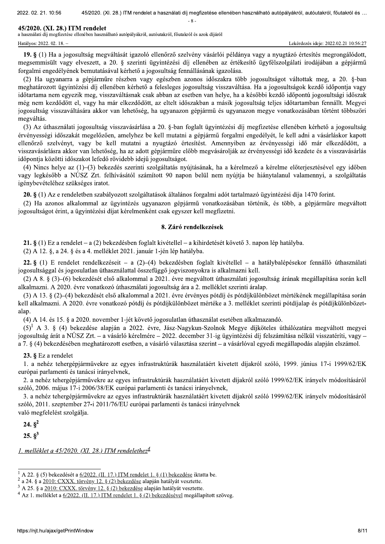2022, 02, 21, 10,  $-36$  45/2020.

 $-8$ .

**45/2020. (XI. 28.) ITM rendelet**<br>a használati díj megfizetése ellenében használható autópályákról, autóutakról, főutakról és azok díjáról Hatályos: 2022. 02. 18. − Lekérdezés ideje: 2022.02.21 10:56:27

. (XI. 28.) ITM rendelet a használati díj megfizetése ellenében használható autópályákról, autóutakról, főutakról és ...<br>- 8 -<br>- 8 -<br>- Expailható autópályákról, autóutakról, főutakról és azok díjáról<br>- Lekérdezés ideje: 20 19. § (1) Ha a jogosultság megváltását jgazoló ellenőrző szelvény vásárlói példánya vagy a nyugtázó értesítés megrongálódott, megsemmisült vagy elveszett, a 20. § szerinti ügyintézési díj ellenében az értékesítő ügyfélszolgálati irodájában a gépjármű forgalmi engedélvének bemutatásával kérhető a jogosultság fennállásának igazolása.

(2) Ha ugyanarra a gépjárműre részben vagy egészben azonos időszakra több jogosultságot váltottak meg, a 20. §-ban meghatározott ügyintézési díj ellenében kérhető a felesleges jogosultság visszaváltása. Ha a jogosultságok kezdő időpontja vagy időtartama nem egyezik meg, visszaváltásnak csak abban az esetben van helye, ha a későbbi kezdő időpontú jogosultsági időszak még nem kezdődött el, vagy ha már elkezdődött, az eltelt időszakban a másik jogosultság teljes időtartamban fennállt. Megyei jogosultság visszaváltására akkor van lehetőség, ha ugyanazon gépjármű és ugyanazon megye vonatkozásában történt többszöri megváltás.

(3) Az úthasználati jogosultság visszavásárlása a 20. §-ban foglalt ügyintézési díj megfizetése ellenében kérhető a jogosultság érvényességi időszakát megelőzően, amelyhez be kell mutatni a gépjármű forgalmi engedélyét, le kell adni a vásárláskor kapott ellenőrző szelvényt, vagy be kell mutatni a nyugtázó értesítést. Amennyiben az érvényességi idő már elkezdődött, a visszavásárlásra akkor van lehetőség, ha az adott gépjárműre előbb megvásárolják az érvényességi idő kezdete és a visszavásárlás időpontja közötti időszakot lefedő rövidebb idejű jogosultságot.

(4) Nincs helve az (1)–(3) bekezdés szerinti szolgáltatás nyújtásának, ha a kérelmező a kérelme előterjesztésével egy időben vagy legkésőbb a NÚSZ Zrt. felhívásától számított 90 napon belül nem nyújtja be hiánytalanul valamennyi, a szolgáltatás igénybevételéhez szükséges iratot.

20. § (1) Az e rendeletben szabályozott szolgáltatások általános forgalmi adót tartalmazó ügyintézési díja 1470 forint.

(2) Ha azonos alkalommal az ügyintézés ugyanazon gépiármű vonatkozásában történik, és több, a gépiárműre megyáltott jogosultságot érint, a ügyintézési díjat kérelmenként csak egyszer kell megfizetni.

#### 8. Záró rendelkezések

**21.** § (1) Ez a rendelet – a (2) bekezdésben foglalt kivétellel – a kihirdetését követő 3. napon lép hatályba.

(2) A 12.  $\S$ , a 24.  $\S$  és a 4. melléklet 2021. január 1-jén lép hatályba.

22. § (1) E rendelet rendelkezéseit – a (2)–(4) bekezdésben foglalt kivétellel – a hatálybalépésekor fennálló úthasználati  $jogosultsággal és jogosulatlan úthasználattal összefüggő jogviszonyokra is alkalmazni kell.$ 

(2) A 8. § (3)–(6) bekezdését első alkalommal a 2021. évre megváltott úthasználati jogosultság árának megállapítása során kell alkalmazni. A 2020. évre vonatkozó úthasználati jogosultság ára a 2. melléklet szerinti áralap.

 $(3)$  A 13,  $\S$   $(2)$ – $(4)$  bekezdését első alkalommal a 2021, évre érvényes pótdíj és pótdíjkülönbözet mértékének megállapítása során kell alkalmazni. A 2020. évre vonatkozó pótdíj és pótdíjkülönbözet mértéke a 3. melléklet szerinti pótdíjalap és pótdíjkülönbözetalap.

 $(4)$  A 14, és 15,  $\S$  a 2020, november 1-jét követő jogosulatlan úthasználat esetében alkalmazandó.

 $(5)^1$  A 3. § (4) bekezdése alapján a 2022. évre, Jász-Nagykun-Szolnok Megye díjköteles úthálózatára megváltott megyei jogosultság árát a NÚSZ Zrt. – a vásárló kérelmére – 2022. december 31-ig ügyintézési díj felszámítása nélkül visszatéríti, vagy – a 7. § (4) bekezdésében meghatározott esetben, a vásárló választása szerint – a vásárlóval egyedi megállapodás alapján elszámol.

## 23.  $\&$  Ez a rendelet

1. a nehéz tehergépjárművekre az egyes infrastruktúrák használatáért kivetett díjakról szóló, 1999. június 17-i 1999/62/EK európai parlamenti és tanácsi irányelynek,

2. a nehéz tehergépjárművekre az egyes infrastruktúrák használatáért kivetett díjakról szóló 1999/62/EK irányely módosításáról szóló, 2006. május 17-i 2006/38/EK európai parlamenti és tanácsi irányelynek.

3. a nehéz tehergépjárművekre az egyes infrastruktúrák használatáért kivetett díjakról szóló 1999/62/EK irányelv módosításáról szóló, 2011. szeptember 27-i 2011/76/EU európai parlamenti és tanácsi irányelvnek

való megfelelést szolgálja.

24. $8^2$ 

25. $S^3$ 

1. melléklet a 45/2020. (XI. 28.) ITM rendelethez $4$ 

<sup>&</sup>lt;sup>1</sup> A 22. § (5) bekezdését a <u>6/2022. (II. 17.) ITM rendelet 1. § (1) bekezdése</u> iktatta be.<br><sup>2</sup> a 24. § a <u>2010: CXXX. törvény 12. § (2) bekezdése</u> alapján hatályát vesztette.<br><sup>3</sup> A 25. § a <u>2010: CXXX. törvény 12. § (2)</u>

 $a$  24.  $\frac{9}{3}$  a 2010: CXXX<br>  $3$  A 25.  $\frac{8}{3}$  a 2010: CXXX<br>  $4$  Az 1. melléklet a <u>6/2021</u><br>
https://njt.hu/ajax/getPrin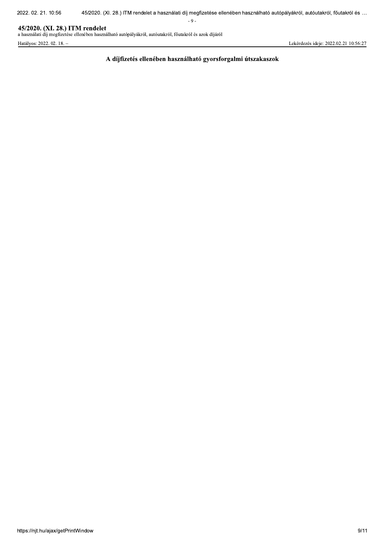$-9-$ 

## 45/2020. (XI. 28.) ITM rendelet

a használati díj megfizetése ellenében használható autópályákról, autóutakról, főutakról és azok díjáról

Hatályos: 2022. 02. 18. -

Lekérdezés ideje: 2022.02.21 10:56:27

A díjfizetés ellenében használható gyorsforgalmi útszakaszok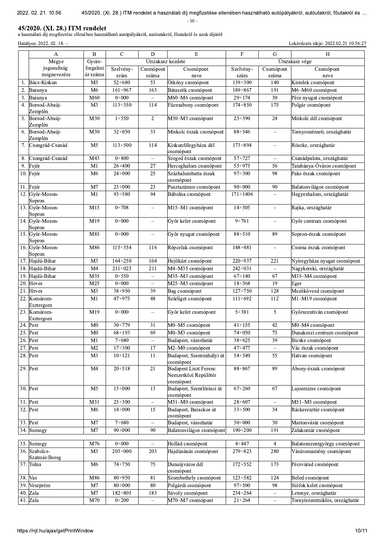$-10-$ 

45/2020. (XI. 28.) ITM rendelet<br>a használati díj megfizetése ellenében használható autópályákról, autóutakról, főutakról és azok díjáról

Hatályos: 2022. 02. 18. -

Lekérdezés ideje: 2022.02.21 10:56:27

|         | A                         | $\bf{B}$       | $\overline{C}$ | $\mathbf D$                       | E                                   | $\mathbf F$  | $\overline{G}$           | H                              |
|---------|---------------------------|----------------|----------------|-----------------------------------|-------------------------------------|--------------|--------------------------|--------------------------------|
|         | Megye                     | Gyors-         |                | Útszakasz kezdete                 |                                     |              |                          | Útszakasz vége                 |
|         | jogosultság               | forgalmi       | Szelvény-      | Csomópont                         | Csomópont                           | Szelvény-    | Csomópont                | Csomópont                      |
|         | megnevezése               | út száma       | szám           | száma                             | neve                                | szám         | száma                    | neve                           |
| 1.      | Bács-Kiskun               | M <sub>5</sub> | $52 + 680$     | 53                                | Örkény csomópont                    | $139 + 300$  | 140                      | Kistelek csomópont             |
| 2.      | Baranya                   | M <sub>6</sub> | $161 + 967$    | 163                               | Bátaszék csomópont                  | 189+867      | 191                      | M6-M60 csomópont               |
| 3.      | Baranya                   | M60            | $0 + 000$      | $\overline{\phantom{0}}$          | M60-M6 csomópont                    | $29 + 174$   | $\overline{30}$          | Pécs nyugat csomópont          |
| 4.      | Borsod-Abaúj-             | M3             | 113+350        | 114                               | Füzesabony csomópont                | $174 + 850$  | 175                      | Polgár csomópont               |
|         | Zemplén                   |                |                |                                   |                                     |              |                          |                                |
| 5.      | Borsod-Abaúj-             | M30            | $1+550$        | $\overline{2}$                    | M30-M3 csomópont                    | $23 + 390$   | 24                       | Miskolc dél csomópont          |
|         | Zemplén                   |                |                |                                   |                                     |              |                          |                                |
| 6.      | Borsod-Abaúj-             | M30            | $32 + 050$     | 33                                | Miskolc észak csomópont             | $88 + 546$   | $\qquad \qquad -$        | Tornyosnémeti, országhatár     |
|         | Zemplén                   |                |                |                                   |                                     |              |                          |                                |
| 7.      | Csongrád-Csanád           | M <sub>5</sub> | $113 + 500$    | 114                               | Kiskunfélegyháza dél                | 173+894      | $\overline{\phantom{0}}$ | Röszke, országhatár            |
| 8.      | Csongrád-Csanád           | M43            | $0 + 800$      | $\overline{\phantom{a}}$          | csomópont<br>Szeged észak csomópont | 57+727       | $\qquad \qquad -$        | Csanádpalota, országhatár      |
| 9.      |                           | M1             | $26+400$       | 27                                | Herceghalom csomópont               | 55+975       | 56                       | Tatabánya-Óváros csomópont     |
|         | Fejér                     |                | $24+000$       | 25                                | Százhalombatta észak                | $97 + 300$   |                          | Paks észak csomópont           |
|         | 10. Fejér                 | M <sub>6</sub> |                |                                   | csomópont                           |              | 98                       |                                |
| 11.     | Fejér                     | M <sub>7</sub> | $23+000$       | 23                                | Pusztazámor csomópont               | $90 + 000$   | 90                       | Balatonvilágos csomópont       |
|         | 12. Győr-Moson-           | M1             | $93 + 580$     | 94                                | Bábolna csomópont                   | $171 + 1406$ | $\equiv$                 | Hegyeshalom, országhatár       |
|         | Sopron                    |                |                |                                   |                                     |              |                          |                                |
|         | 13. Győr-Moson-           | M15            | $0 + 708$      | $\equiv$                          | M15-M1 csomópont                    | $14 + 505$   | $\equiv$                 | Rajka, országhatár             |
|         | Sopron                    |                |                |                                   |                                     |              |                          |                                |
|         | 14. Győr-Moson-           | M19            | $0+000$        |                                   | Győr kelet csomópont                | $9 + 761$    | $\equiv$                 | Győr centrum csomópont         |
|         | Sopron                    |                |                |                                   |                                     |              |                          |                                |
|         | 15. Győr-Moson-           | M85            | $0+000$        | $\equiv$                          | Győr nyugat csomópont               | 88+510       | 89                       | Sopron-észak csomópont         |
|         | Sopron<br>16. Győr-Moson- |                |                |                                   |                                     |              |                          |                                |
|         | Sopron                    | M86            | 115+554        | 116                               | Répcelak csomópont                  | $148 + 481$  | $\equiv$                 | Csorna észak csomópont         |
|         | 17. Hajdú-Bihar           | M <sub>3</sub> | $164 + 250$    | 164                               | Hejőkürt csomópont                  | $220+937$    | 221                      | Nyíregyháza nyugat csomópont   |
|         | 18. Hajdú-Bihar           | M <sub>4</sub> | $211+025$      | 211                               | M4-M35 csomópont                    | $242+031$    | $\equiv$                 | Nagykereki, országhatár        |
| 19.     | Hajdú-Bihar               | M35            | $0 + 550$      | $\overline{\phantom{0}}$          | M35-M3 csomópont                    | $67 + 140$   | 67                       | M35-M4 csomópont               |
| 20.     | Heves                     | M25            | $0 + 000$      | $\hspace{1.0cm} - \hspace{1.0cm}$ | M25-M3 csomópont                    | $18 + 568$   | 19                       | Eger                           |
| 21.     | Heves                     | M <sub>3</sub> | 38+950         | 39                                | Bag csomópont                       | $127 + 750$  | 128                      | Mezőkövesd csomópont           |
| 22.     | Komárom-                  | M1             | 47+975         | 48                                | Szárliget csomópont                 | $111+692$    | 112                      | M1-M19 csomópont               |
|         | Esztergom                 |                |                |                                   |                                     |              |                          |                                |
|         | 23. Komárom-              | M19            | $0+000$        |                                   | Győr kelet csomópont                | $5 + 381$    | 5                        | Győrszentiván csomópont        |
|         | Esztergom                 |                |                |                                   |                                     |              |                          |                                |
| 24.     | Pest                      | M <sub>0</sub> | 30+779         | 31                                | M0-M5 csomópont                     | $41 + 155$   | 42                       | M0-M4 csomópont                |
|         | 25. Pest                  | M <sub>0</sub> | $68 + 193$     | 69                                | M0-M3 csomópont                     | 74+050       | 75                       | Dunakeszi centrum csomópont    |
|         | 26. Pest                  | MI             | $7 + 680$      | $\overline{\phantom{0}}$          | Budapest, városhatár                | 38+625       | 39                       | Bicske csomopont               |
|         | 27. Pest                  | M <sub>2</sub> | $17 + 300$     | $\overline{17}$                   | M2-M0 csomópont                     | 47+477       | $\overline{\phantom{m}}$ | Vác észak csomópont            |
|         | 28. Pest                  | M <sub>3</sub> | $10 + 121$     | 11                                | Budapest, Szentmihályi út           | 54+540       | 55                       | Hatvan csomópont               |
|         |                           |                |                |                                   | csomópont                           |              |                          |                                |
|         | 29. Pest                  | M4             | $20 + 518$     | $\overline{21}$                   | <b>Budapest Liszt Ferenc</b>        | $88 + 867$   | 89                       | Abony-észak csomópont          |
|         |                           |                |                |                                   | Nemzetközi Repülőtér<br>csomópont   |              |                          |                                |
|         | 30. Pest                  | M5             | $13+000$       | 13                                | Budapest, Szentlőrinci út           | $67 + 260$   | 67                       | Lajosmizse csomópont           |
|         |                           |                |                |                                   | csomópont                           |              |                          |                                |
|         | 31. Pest                  | M51            | $25 + 300$     | $\qquad \qquad -$                 | M51-M0 csomópont                    | 28+607       | $\equiv$                 | M51-M5 csomópont               |
|         | 32. Pest                  | M <sub>6</sub> | $14 + 000$     | 15                                | Budapest, Barackos út               | $33 + 500$   | 34                       | Ráckeresztúr csomópont         |
|         |                           |                |                |                                   | csomópont                           |              |                          |                                |
|         | 33. Pest                  | M7             | $7 + 680$      | $\equiv$                          | Budapest, városhatár                | $30+000$     | 30                       | Martonvásár csomópont          |
|         | 34. Somogy                | M7             | $90 + 000$     | 90                                | Balatonvilágos csomópont            | $190 + 200$  | 191                      | Zalakomár csomópont            |
|         |                           |                |                |                                   |                                     |              |                          |                                |
|         | 35. Somogy                | M76            | $0 + 000$      |                                   | Hollád csomópont                    | $4 + 447$    | 4                        | Balatonszentgyörgy csomópont   |
|         | 36. Szabolcs-             | M <sub>3</sub> | $203 + 000$    | 203                               | Hajdúnánás csomópont                | 279+823      | 280                      | Vásárosnamény csomópont        |
|         | Szatmár-Bereg             |                |                |                                   |                                     |              |                          |                                |
|         | 37. Tolna                 | M <sub>6</sub> | 74+750         | 75                                | Dunaújváros dél<br>csomópont        | $172 + 552$  | 173                      | Pécsvárad csomópont            |
| 38. Vas |                           | M86            | $80 + 950$     | $\overline{81}$                   | Szombathely csomópont               | $123 + 582$  | 124                      | Beled csomópont                |
| 39.     | Veszprém                  | M <sub>7</sub> | $80 + 000$     | 80                                | Polgárdi csomópont                  | 97+500       | 98                       | Siófok kelet csomópont         |
| 40.     | Zala                      | M7             | 182+805        | 183                               | Sávoly csomópont                    | 234+264      | $\overline{\phantom{0}}$ | Letenye, országhatár           |
|         | 41. Zala                  | M70            | $0 + 200$      | $\equiv$                          | M70-M7 csomópont                    | $21 + 264$   | $\equiv$                 | Tornyiszentmiklós, országhatár |
|         |                           |                |                |                                   |                                     |              |                          |                                |